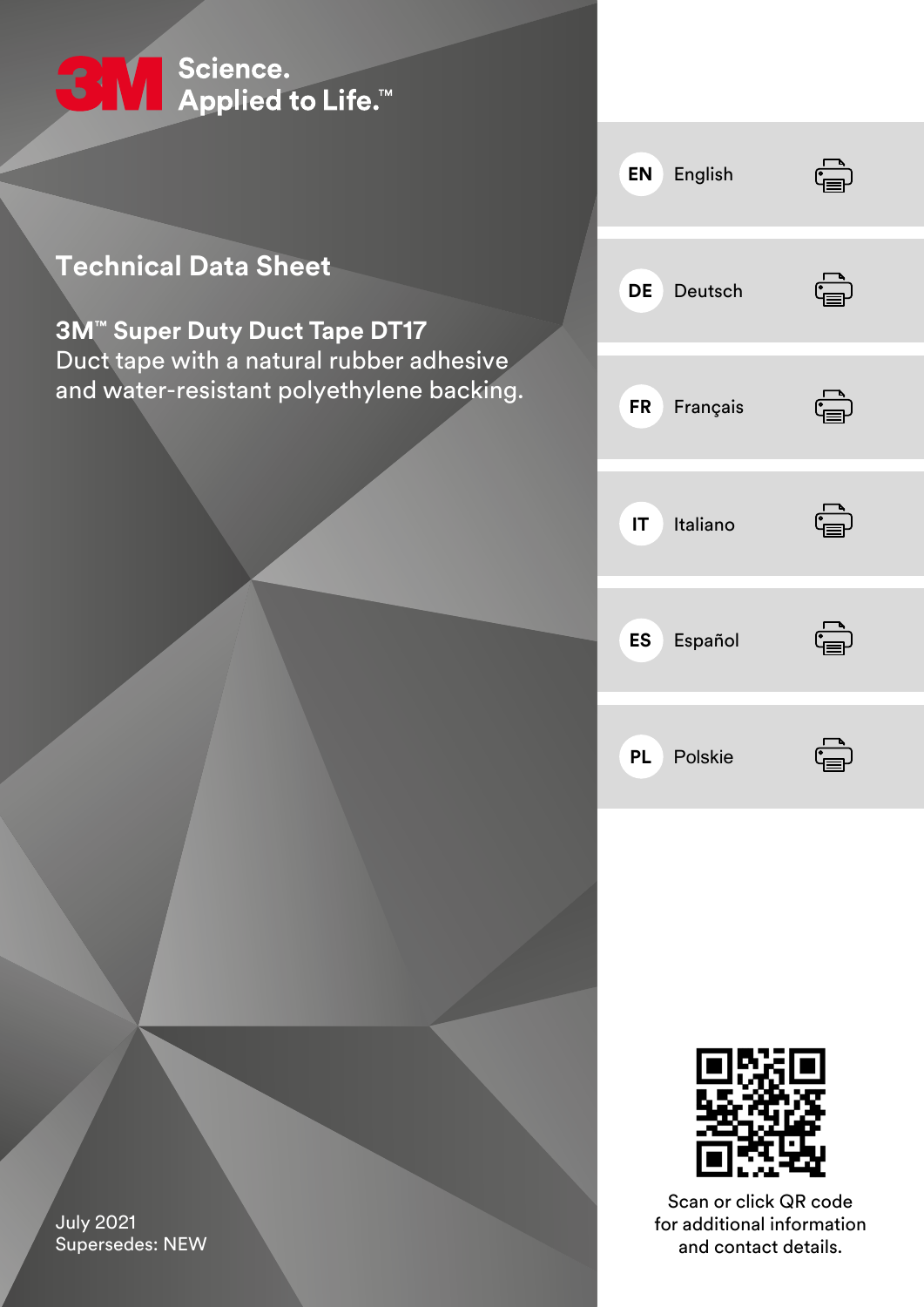

# **Technical Data Sheet**

# **3M™ Super Duty Duct Tape DT17** Duct tape with a natural rubber adhesive and water-resistant polyethylene backing.





Scan or click QR code for additional information and contact details.

July 2021 Supersedes: NEW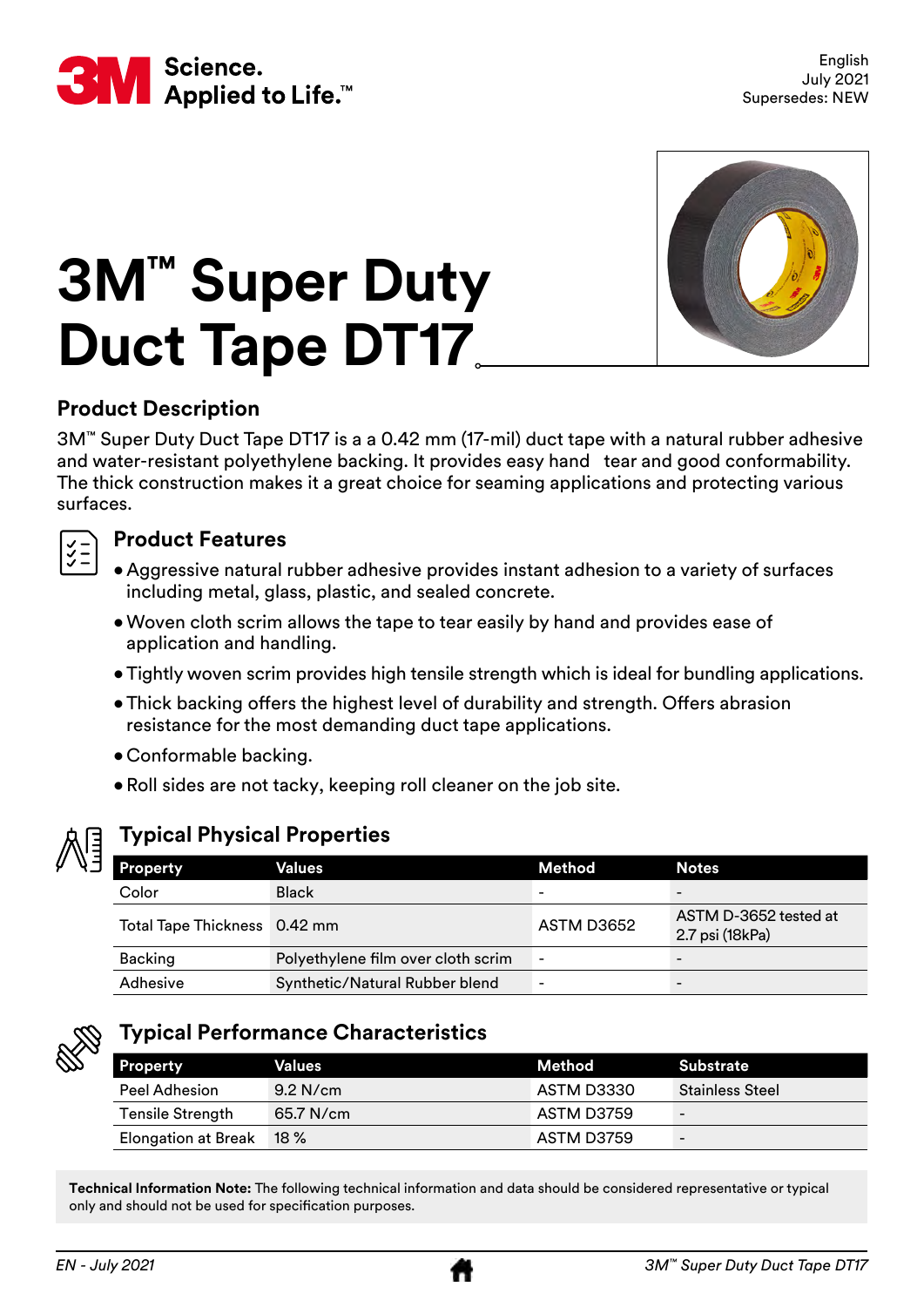<span id="page-1-0"></span>

# **3M™ Super Duty Duct Tape DT17**



# **Product Description**

3M™ Super Duty Duct Tape DT17 is a a 0.42 mm (17-mil) duct tape with a natural rubber adhesive and water-resistant polyethylene backing. It provides easy hand tear and good conformability. The thick construction makes it a great choice for seaming applications and protecting various surfaces.



# **Product Features**

- Aggressive natural rubber adhesive provides instant adhesion to a variety of surfaces including metal, glass, plastic, and sealed concrete.
- •Woven cloth scrim allows the tape to tear easily by hand and provides ease of application and handling.
- •Tightly woven scrim provides high tensile strength which is ideal for bundling applications.
- Thick backing offers the highest level of durability and strength. Offers abrasion resistance for the most demanding duct tape applications.
- Conformable backing.
- •Roll sides are not tacky, keeping roll cleaner on the job site.



# **Typical Physical Properties**

| Property                     | Values                             | Method                   | <b>Notes</b>                             |
|------------------------------|------------------------------------|--------------------------|------------------------------------------|
| Color                        | <b>Black</b>                       | $\overline{\phantom{0}}$ | -                                        |
| Total Tape Thickness 0.42 mm |                                    | ASTM D3652               | ASTM D-3652 tested at<br>2.7 psi (18kPa) |
| Backing                      | Polyethylene film over cloth scrim | $\overline{\phantom{a}}$ | -                                        |
| Adhesive                     | Synthetic/Natural Rubber blend     | ۰                        | -                                        |



# **Typical Performance Characteristics**

| <b>Property</b>            | Values     | Method     | Substrate                |
|----------------------------|------------|------------|--------------------------|
| Peel Adhesion              | $9.2$ N/cm | ASTM D3330 | <b>Stainless Steel</b>   |
| Tensile Strength           | 65.7 N/cm  | ASTM D3759 | $\overline{\phantom{a}}$ |
| <b>Elongation at Break</b> | $18 \%$    | ASTM D3759 | $\qquad \qquad -$        |

**Technical Information Note:** The following technical information and data should be considered representative or typical only and should not be used for specification purposes.

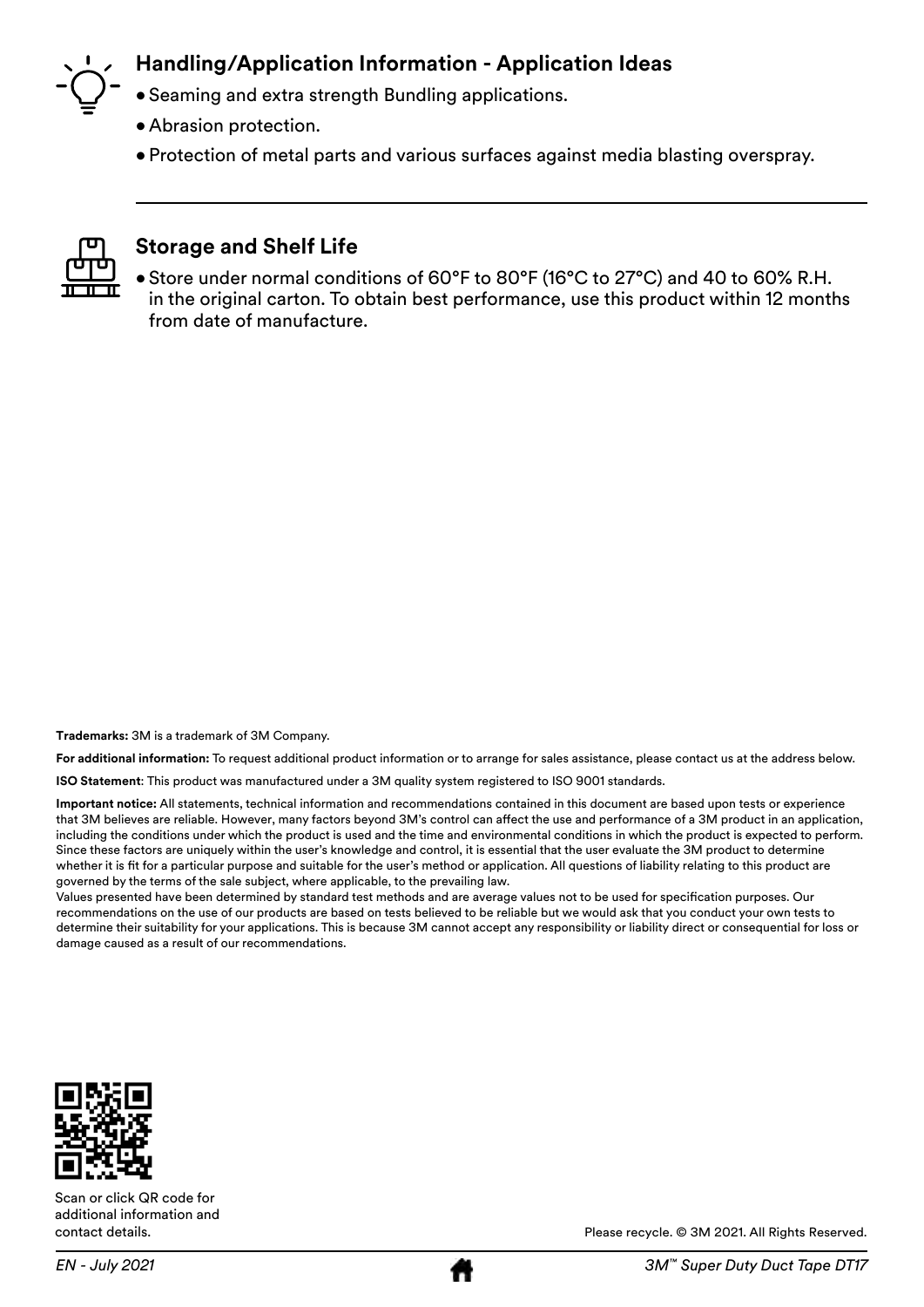

### **Handling/Application Information - Application Ideas**

- Seaming and extra strength Bundling applications.
- Abrasion protection.
- Protection of metal parts and various surfaces against media blasting overspray.



### **Storage and Shelf Life**

• Store under normal conditions of 60°F to 80°F (16°C to 27°C) and 40 to 60% R.H. in the original carton. To obtain best performance, use this product within 12 months from date of manufacture.

**Trademarks:** 3M is a trademark of 3M Company.

**For additional information:** To request additional product information or to arrange for sales assistance, please contact us at the address below.

**ISO Statement**: This product was manufactured under a 3M quality system registered to ISO 9001 standards.

**Important notice:** All statements, technical information and recommendations contained in this document are based upon tests or experience that 3M believes are reliable. However, many factors beyond 3M's control can affect the use and performance of a 3M product in an application, including the conditions under which the product is used and the time and environmental conditions in which the product is expected to perform. Since these factors are uniquely within the user's knowledge and control, it is essential that the user evaluate the 3M product to determine whether it is fit for a particular purpose and suitable for the user's method or application. All questions of liability relating to this product are governed by the terms of the sale subject, where applicable, to the prevailing law.

Values presented have been determined by standard test methods and are average values not to be used for specification purposes. Our recommendations on the use of our products are based on tests believed to be reliable but we would ask that you conduct your own tests to determine their suitability for your applications. This is because 3M cannot accept any responsibility or liability direct or consequential for loss or damage caused as a result of our recommendations.



Scan or click QR code for additional information and contact details.



Please recycle. © 3M 2021. All Rights Reserved.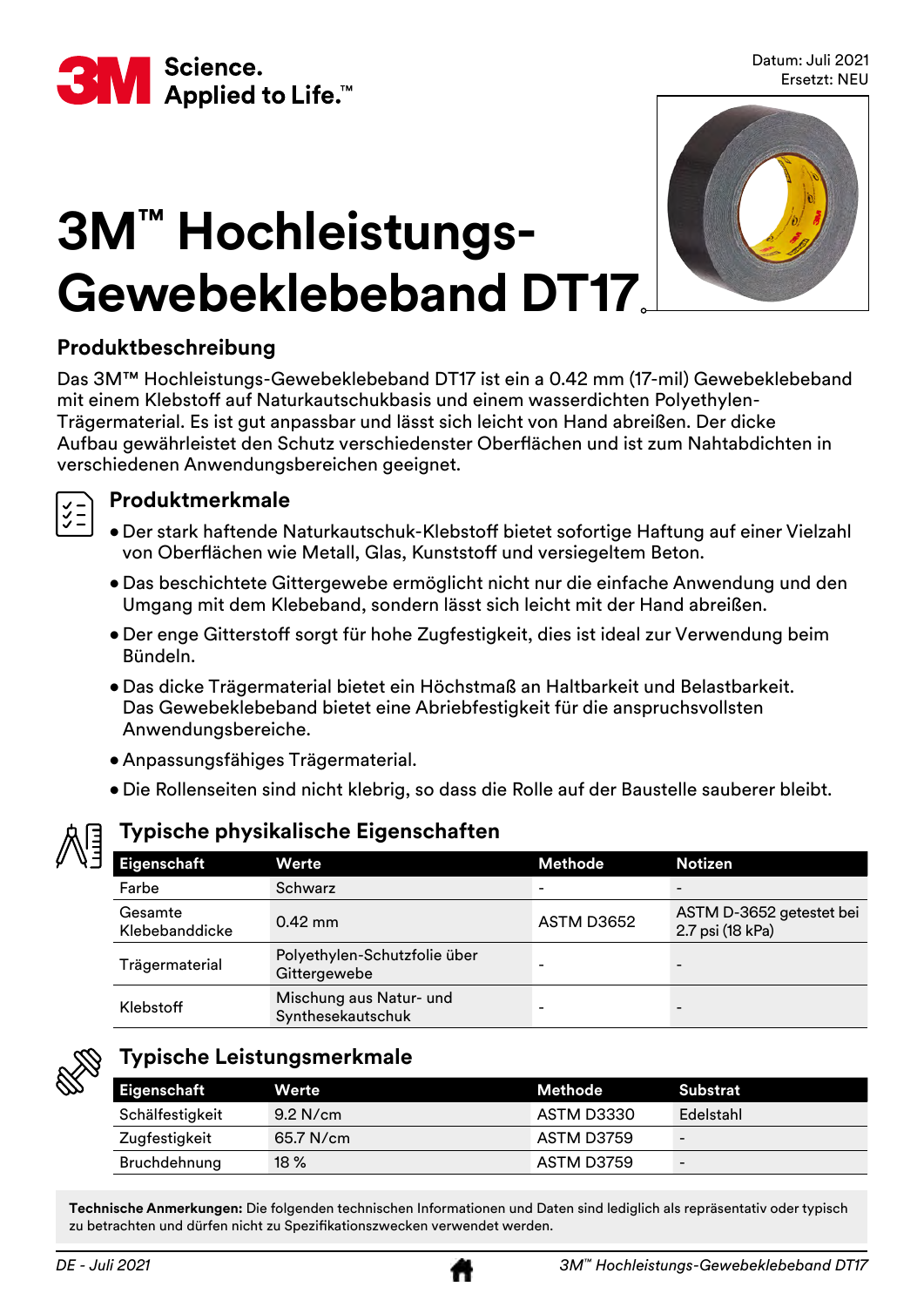<span id="page-3-0"></span>

# **3M™ Hochleistungs-Gewebeklebeband DT17**



# **Produktbeschreibung**

Das 3M™ Hochleistungs-Gewebeklebeband DT17 ist ein a 0.42 mm (17-mil) Gewebeklebeband mit einem Klebstoff auf Naturkautschukbasis und einem wasserdichten Polyethylen-Trägermaterial. Es ist gut anpassbar und lässt sich leicht von Hand abreißen. Der dicke Aufbau gewährleistet den Schutz verschiedenster Oberflächen und ist zum Nahtabdichten in verschiedenen Anwendungsbereichen geeignet.



### **Produktmerkmale**

- • Der stark haftende Naturkautschuk-Klebstoff bietet sofortige Haftung auf einer Vielzahl von Oberflächen wie Metall, Glas, Kunststoff und versiegeltem Beton.
- Das beschichtete Gittergewebe ermöglicht nicht nur die einfache Anwendung und den Umgang mit dem Klebeband, sondern lässt sich leicht mit der Hand abreißen.
- Der enge Gitterstoff sorgt für hohe Zugfestigkeit, dies ist ideal zur Verwendung beim Bündeln.
- Das dicke Trägermaterial bietet ein Höchstmaß an Haltbarkeit und Belastbarkeit. Das Gewebeklebeband bietet eine Abriebfestigkeit für die anspruchsvollsten Anwendungsbereiche.
- Anpassungsfähiges Trägermaterial.
- Die Rollenseiten sind nicht klebrig, so dass die Rolle auf der Baustelle sauberer bleibt.

# **Typische physikalische Eigenschaften**

| Eigenschaft               | Werte                                        | <b>Methode</b>           | <b>Notizen</b>                               |
|---------------------------|----------------------------------------------|--------------------------|----------------------------------------------|
| Farbe                     | Schwarz                                      | $\overline{\phantom{0}}$ |                                              |
| Gesamte<br>Klebebanddicke | $0.42$ mm                                    | ASTM D3652               | ASTM D-3652 getestet bei<br>2.7 psi (18 kPa) |
| Trägermaterial            | Polyethylen-Schutzfolie über<br>Gittergewebe | $\overline{\phantom{0}}$ | $\overline{\phantom{0}}$                     |
| Klebstoff                 | Mischung aus Natur- und<br>Synthesekautschuk | $\overline{\phantom{0}}$ |                                              |



# **Typische Leistungsmerkmale**

| Eigenschaft     | Werte       | Methode    | Substrat                 |
|-----------------|-------------|------------|--------------------------|
| Schälfestigkeit | $9.2$ N/cm  | ASTM D3330 | Edelstahl                |
| Zugfestigkeit   | $65.7$ N/cm | ASTM D3759 | $\overline{\phantom{a}}$ |
| Bruchdehnung    | $18\%$      | ASTM D3759 | $\qquad \qquad -$        |

**Technische Anmerkungen:** Die folgenden technischen Informationen und Daten sind lediglich als repräsentativ oder typisch zu betrachten und dürfen nicht zu Spezifikationszwecken verwendet werden.

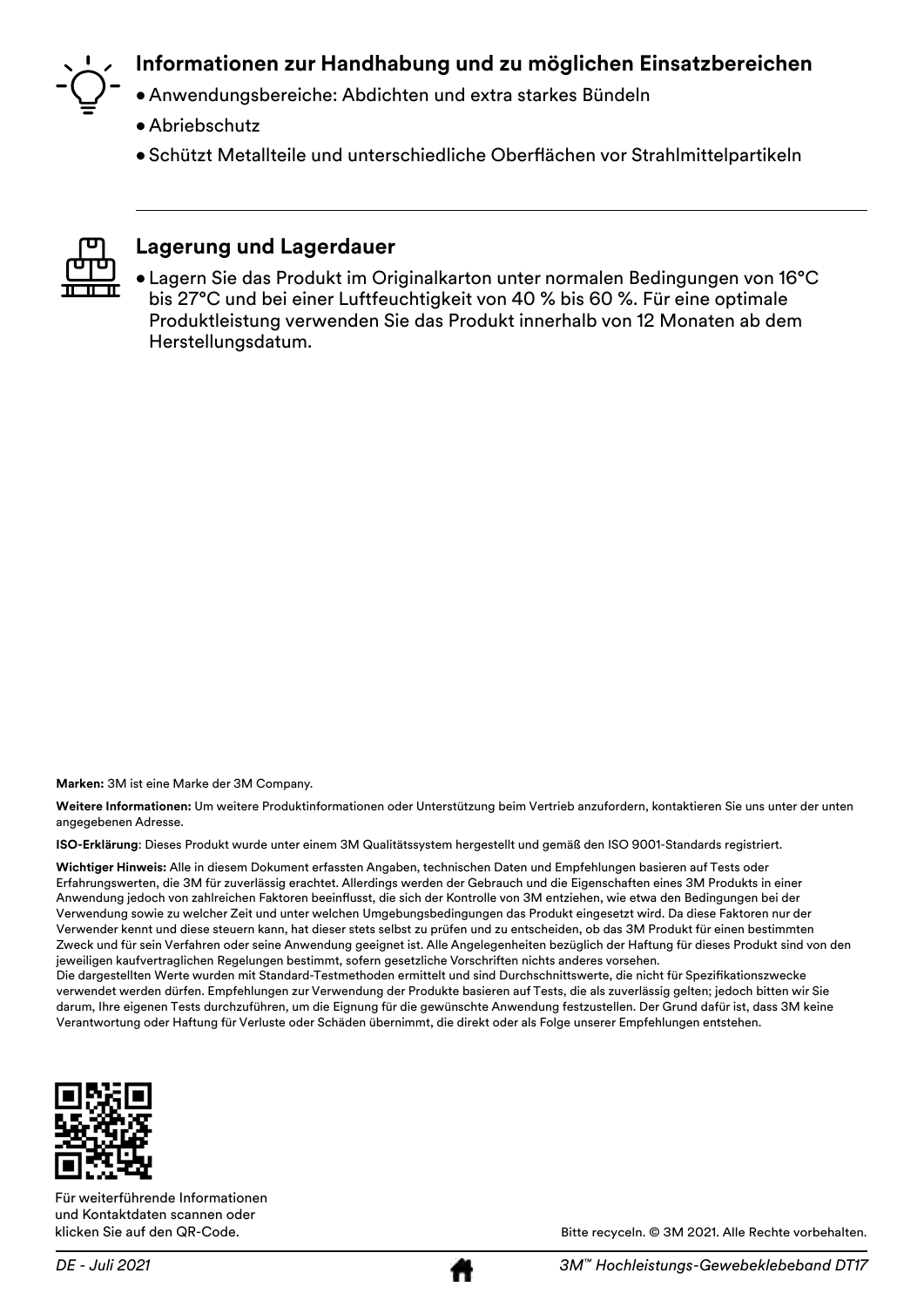

# **Informationen zur Handhabung und zu möglichen Einsatzbereichen**

- • Anwendungsbereiche: Abdichten und extra starkes Bündeln
- Abriebschutz
- • Schützt Metallteile und unterschiedliche Oberflächen vor Strahlmittelpartikeln



#### **Lagerung und Lagerdauer**

• Lagern Sie das Produkt im Originalkarton unter normalen Bedingungen von 16°C bis 27°C und bei einer Luftfeuchtigkeit von 40 % bis 60 %. Für eine optimale Produktleistung verwenden Sie das Produkt innerhalb von 12 Monaten ab dem Herstellungsdatum.

**Marken:** 3M ist eine Marke der 3M Company.

**Weitere Informationen:** Um weitere Produktinformationen oder Unterstützung beim Vertrieb anzufordern, kontaktieren Sie uns unter der unten angegebenen Adresse.

**ISO-Erklärung**: Dieses Produkt wurde unter einem 3M Qualitätssystem hergestellt und gemäß den ISO 9001-Standards registriert.

**Wichtiger Hinweis:** Alle in diesem Dokument erfassten Angaben, technischen Daten und Empfehlungen basieren auf Tests oder Erfahrungswerten, die 3M für zuverlässig erachtet. Allerdings werden der Gebrauch und die Eigenschaften eines 3M Produkts in einer Anwendung jedoch von zahlreichen Faktoren beeinflusst, die sich der Kontrolle von 3M entziehen, wie etwa den Bedingungen bei der Verwendung sowie zu welcher Zeit und unter welchen Umgebungsbedingungen das Produkt eingesetzt wird. Da diese Faktoren nur der Verwender kennt und diese steuern kann, hat dieser stets selbst zu prüfen und zu entscheiden, ob das 3M Produkt für einen bestimmten Zweck und für sein Verfahren oder seine Anwendung geeignet ist. Alle Angelegenheiten bezüglich der Haftung für dieses Produkt sind von den jeweiligen kaufvertraglichen Regelungen bestimmt, sofern gesetzliche Vorschriften nichts anderes vorsehen.

Die dargestellten Werte wurden mit Standard-Testmethoden ermittelt und sind Durchschnittswerte, die nicht für Spezifikationszwecke verwendet werden dürfen. Empfehlungen zur Verwendung der Produkte basieren auf Tests, die als zuverlässig gelten; jedoch bitten wir Sie darum, Ihre eigenen Tests durchzuführen, um die Eignung für die gewünschte Anwendung festzustellen. Der Grund dafür ist, dass 3M keine Verantwortung oder Haftung für Verluste oder Schäden übernimmt, die direkt oder als Folge unserer Empfehlungen entstehen.



Für weiterführende Informationen und Kontaktdaten scannen oder klicken Sie auf den QR-Code.

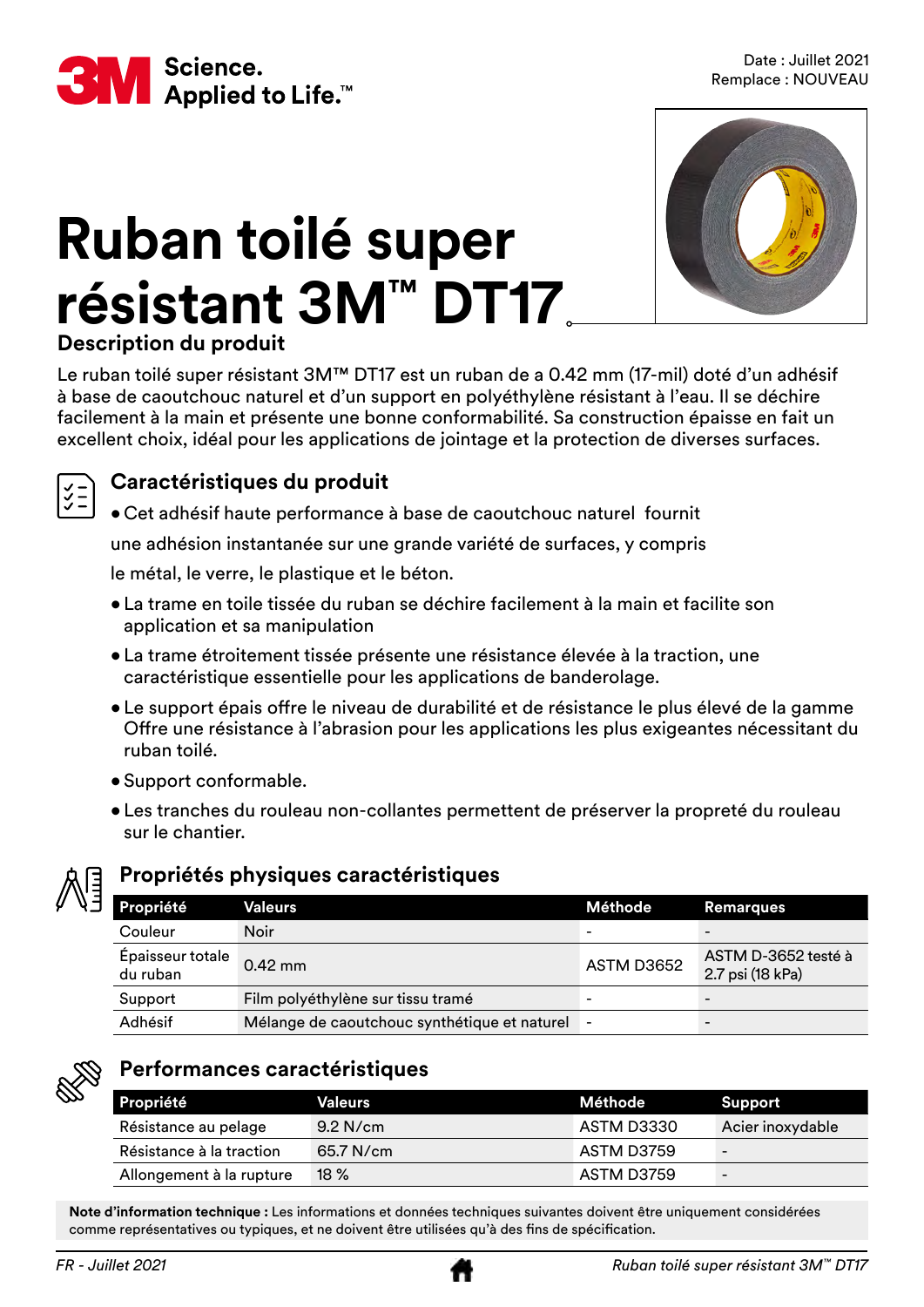<span id="page-5-0"></span>

# **Ruban toilé super résistant 3M™ DT17**



# **Description du produit**

Le ruban toilé super résistant 3M™ DT17 est un ruban de a 0.42 mm (17-mil) doté d'un adhésif à base de caoutchouc naturel et d'un support en polyéthylène résistant à l'eau. Il se déchire facilement à la main et présente une bonne conformabilité. Sa construction épaisse en fait un excellent choix, idéal pour les applications de jointage et la protection de diverses surfaces.



### **Caractéristiques du produit**

• Cet adhésif haute performance à base de caoutchouc naturel fournit

une adhésion instantanée sur une grande variété de surfaces, y compris

le métal, le verre, le plastique et le béton.

- La trame en toile tissée du ruban se déchire facilement à la main et facilite son application et sa manipulation
- La trame étroitement tissée présente une résistance élevée à la traction, une caractéristique essentielle pour les applications de banderolage.
- • Le support épais offre le niveau de durabilité et de résistance le plus élevé de la gamme Offre une résistance à l'abrasion pour les applications les plus exigeantes nécessitant du ruban toilé.
- Support conformable.
- Les tranches du rouleau non-collantes permettent de préserver la propreté du rouleau sur le chantier.



#### **Propriétés physiques caractéristiques**

| Propriété                    | Valeurs                                      | Méthode    | <b>Remarques</b>                        |
|------------------------------|----------------------------------------------|------------|-----------------------------------------|
| Couleur                      | <b>Noir</b>                                  |            |                                         |
| Épaisseur totale<br>du ruban | $0.42$ mm                                    | ASTM D3652 | ASTM D-3652 testé à<br>2.7 psi (18 kPa) |
| Support                      | Film polyéthylène sur tissu tramé            |            | -                                       |
| Adhésif                      | Mélange de caoutchouc synthétique et naturel |            |                                         |



### **Performances caractéristiques**

| Propriété                | Valeurs     | Méthode    | Support                  |
|--------------------------|-------------|------------|--------------------------|
| Résistance au pelage     | $9.2$ N/cm  | ASTM D3330 | Acier inoxydable         |
| Résistance à la traction | $65.7$ N/cm | ASTM D3759 | $\overline{\phantom{a}}$ |
| Allongement à la rupture | $18\%$      | ASTM D3759 | -                        |

**Note d'information technique :** Les informations et données techniques suivantes doivent être uniquement considérées comme représentatives ou typiques, et ne doivent être utilisées qu'à des fins de spécification.

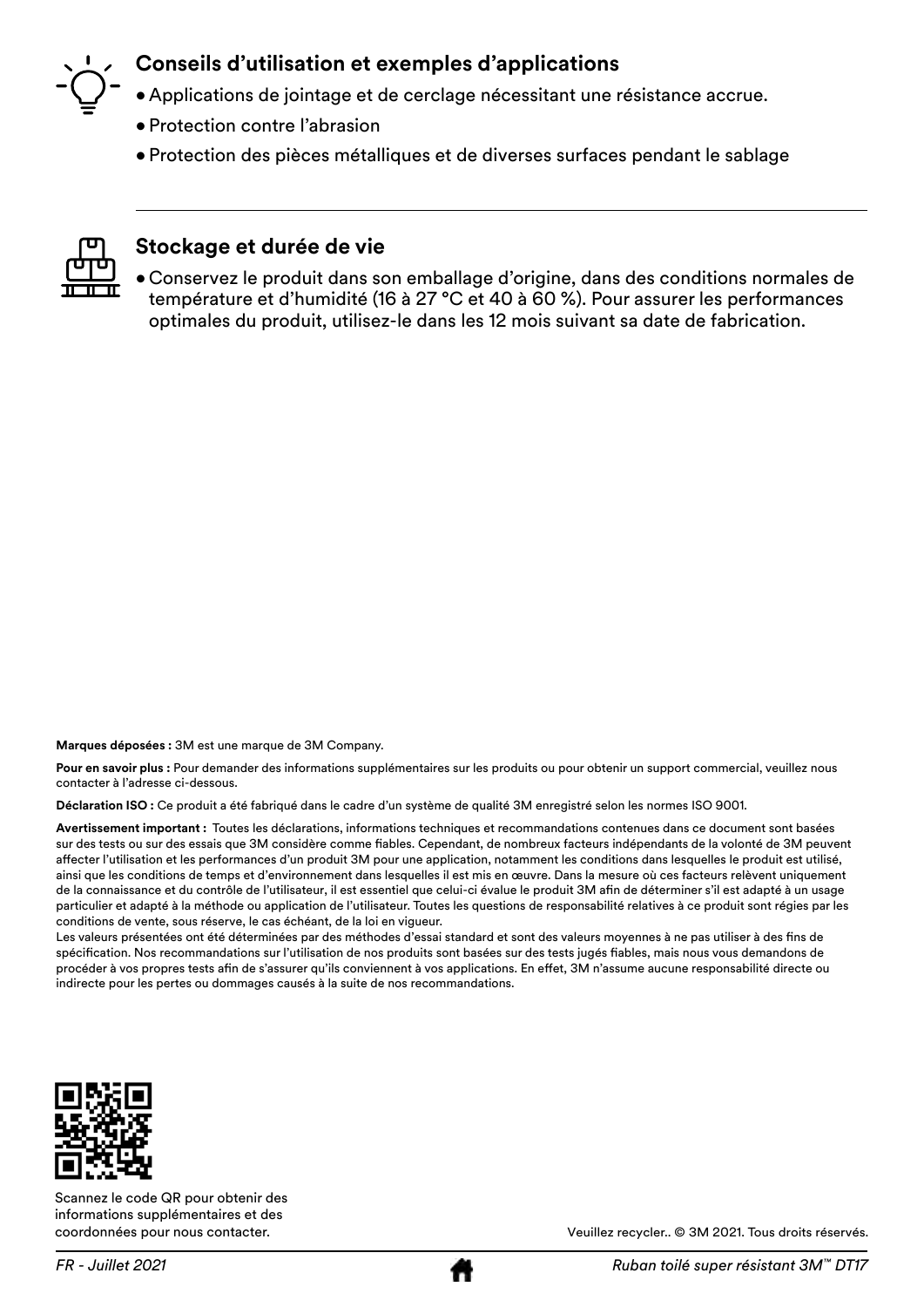# **Conseils d'utilisation et exemples d'applications**

- Applications de jointage et de cerclage nécessitant une résistance accrue.
- Protection contre l'abrasion
- Protection des pièces métalliques et de diverses surfaces pendant le sablage



#### **Stockage et durée de vie**

• Conservez le produit dans son emballage d'origine, dans des conditions normales de température et d'humidité (16 à 27 °C et 40 à 60 %). Pour assurer les performances optimales du produit, utilisez-le dans les 12 mois suivant sa date de fabrication.

**Marques déposées :** 3M est une marque de 3M Company.

**Pour en savoir plus :** Pour demander des informations supplémentaires sur les produits ou pour obtenir un support commercial, veuillez nous contacter à l'adresse ci-dessous.

**Déclaration ISO :** Ce produit a été fabriqué dans le cadre d'un système de qualité 3M enregistré selon les normes ISO 9001.

**Avertissement important :** Toutes les déclarations, informations techniques et recommandations contenues dans ce document sont basées sur des tests ou sur des essais que 3M considère comme fiables. Cependant, de nombreux facteurs indépendants de la volonté de 3M peuvent affecter l'utilisation et les performances d'un produit 3M pour une application, notamment les conditions dans lesquelles le produit est utilisé, ainsi que les conditions de temps et d'environnement dans lesquelles il est mis en œuvre. Dans la mesure où ces facteurs relèvent uniquement de la connaissance et du contrôle de l'utilisateur, il est essentiel que celui-ci évalue le produit 3M afin de déterminer s'il est adapté à un usage particulier et adapté à la méthode ou application de l'utilisateur. Toutes les questions de responsabilité relatives à ce produit sont régies par les conditions de vente, sous réserve, le cas échéant, de la loi en vigueur.

Les valeurs présentées ont été déterminées par des méthodes d'essai standard et sont des valeurs moyennes à ne pas utiliser à des fins de spécification. Nos recommandations sur l'utilisation de nos produits sont basées sur des tests jugés fiables, mais nous vous demandons de procéder à vos propres tests afin de s'assurer qu'ils conviennent à vos applications. En effet, 3M n'assume aucune responsabilité directe ou indirecte pour les pertes ou dommages causés à la suite de nos recommandations.



Scannez le code QR pour obtenir des informations supplémentaires et des coordonnées pour nous contacter.

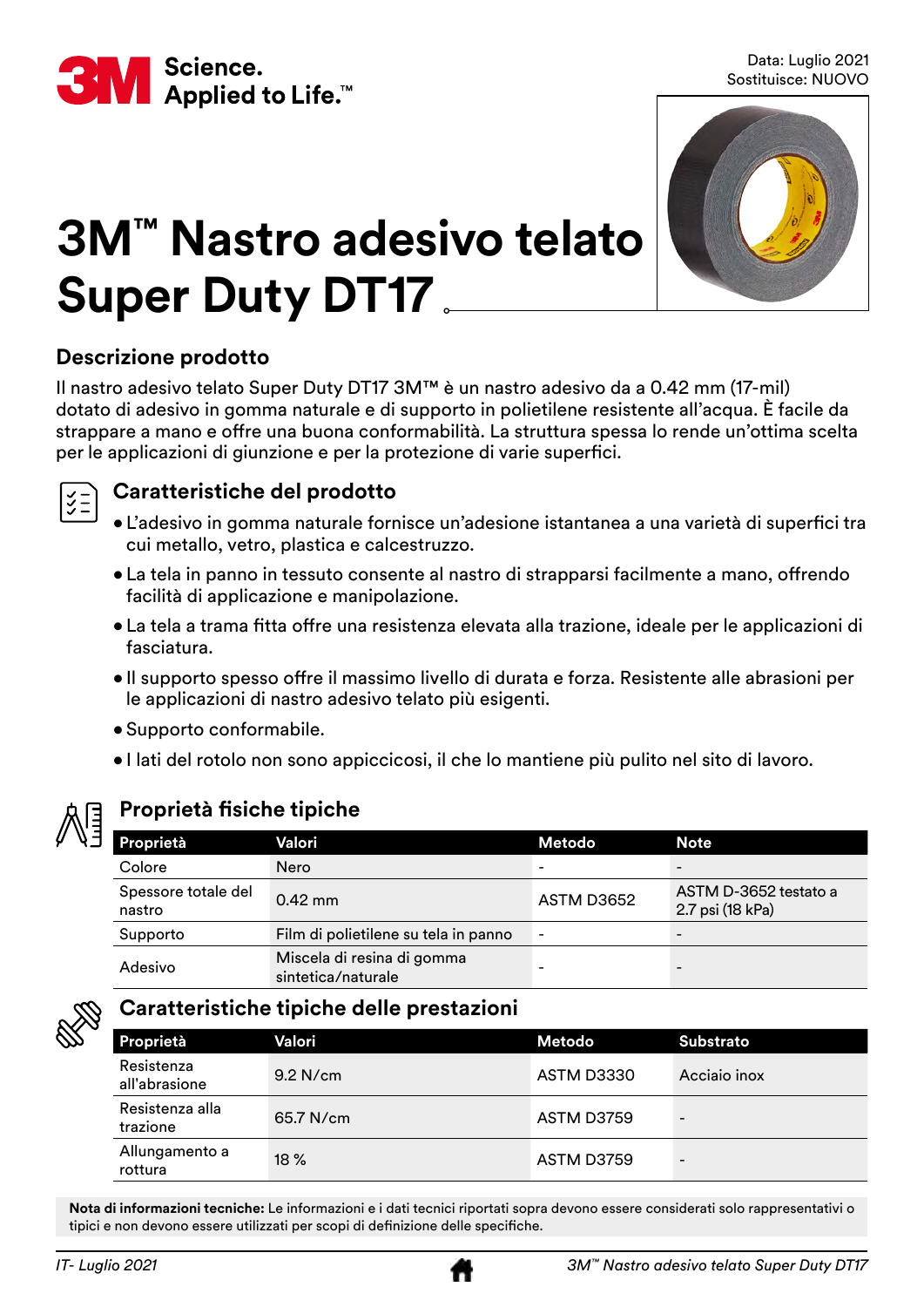<span id="page-7-0"></span>

Data: Luglio 2021 Sostituisce: NUOVO



# **3M™ Nastro adesivo telato Super Duty DT17**

# **Descrizione prodotto**

Il nastro adesivo telato Super Duty DT17 3M™ è un nastro adesivo da a 0.42 mm (17-mil) dotato di adesivo in gomma naturale e di supporto in polietilene resistente all'acqua. È facile da strappare a mano e offre una buona conformabilità. La struttura spessa lo rende un'ottima scelta per le applicazioni di giunzione e per la protezione di varie superfici.



# **Caratteristiche del prodotto**

- • L'adesivo in gomma naturale fornisce un'adesione istantanea a una varietà di superfici tra cui metallo, vetro, plastica e calcestruzzo.
- La tela in panno in tessuto consente al nastro di strapparsi facilmente a mano, offrendo facilità di applicazione e manipolazione.
- • La tela a trama fitta offre una resistenza elevata alla trazione, ideale per le applicazioni di fasciatura.
- • Il supporto spesso offre il massimo livello di durata e forza. Resistente alle abrasioni per le applicazioni di nastro adesivo telato più esigenti.
- Supporto conformabile.
- I lati del rotolo non sono appiccicosi, il che lo mantiene più pulito nel sito di lavoro.



# **Proprietà fisiche tipiche**

| Proprietà                     | Valori                                           | Metodo                   | <b>Note</b>                               |
|-------------------------------|--------------------------------------------------|--------------------------|-------------------------------------------|
| Colore                        | Nero                                             | $\overline{\phantom{0}}$ | $\overline{\phantom{0}}$                  |
| Spessore totale del<br>nastro | $0.42$ mm                                        | ASTM D3652               | ASTM D-3652 testato a<br>2.7 psi (18 kPa) |
| Supporto                      | Film di polietilene su tela in panno             | $\overline{\phantom{a}}$ |                                           |
| Adesivo                       | Miscela di resina di gomma<br>sintetica/naturale |                          |                                           |



# **Caratteristiche tipiche delle prestazioni**

| Proprietà                   | Valori     | Metodo     | <b>Substrato</b>         |
|-----------------------------|------------|------------|--------------------------|
| Resistenza<br>all'abrasione | $9.2$ N/cm | ASTM D3330 | Acciaio inox             |
| Resistenza alla<br>trazione | 65.7 N/cm  | ASTM D3759 | $\qquad \qquad -$        |
| Allungamento a<br>rottura   | $18\%$     | ASTM D3759 | $\overline{\phantom{a}}$ |

**Nota di informazioni tecniche:** Le informazioni e i dati tecnici riportati sopra devono essere considerati solo rappresentativi o tipici e non devono essere utilizzati per scopi di definizione delle specifiche.

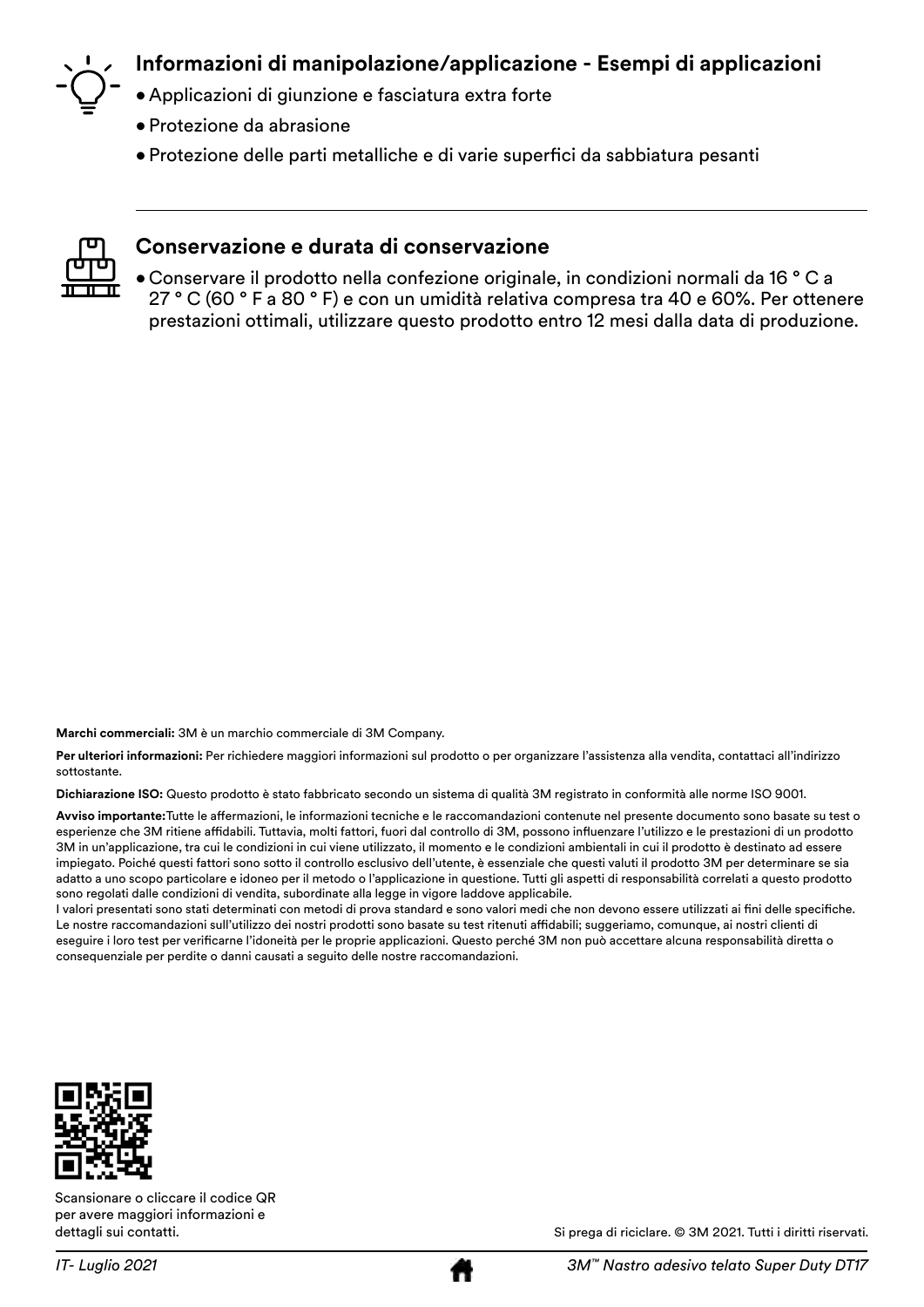

# **Informazioni di manipolazione/applicazione - Esempi di applicazioni**

- Applicazioni di giunzione e fasciatura extra forte
- Protezione da abrasione
- • Protezione delle parti metalliche e di varie superfici da sabbiatura pesanti



#### **Conservazione e durata di conservazione**

• Conservare il prodotto nella confezione originale, in condizioni normali da 16 ° C a 27 ° C (60 ° F a 80 ° F) e con un umidità relativa compresa tra 40 e 60%. Per ottenere prestazioni ottimali, utilizzare questo prodotto entro 12 mesi dalla data di produzione.

**Marchi commerciali:** 3M è un marchio commerciale di 3M Company.

Per ulteriori informazioni: Per richiedere maggiori informazioni sul prodotto o per organizzare l'assistenza alla vendita, contattaci all'indirizzo sottostante.

**Dichiarazione ISO:** Questo prodotto è stato fabbricato secondo un sistema di qualità 3M registrato in conformità alle norme ISO 9001.

**Avviso importante:**Tutte le affermazioni, le informazioni tecniche e le raccomandazioni contenute nel presente documento sono basate su test o esperienze che 3M ritiene affidabili. Tuttavia, molti fattori, fuori dal controllo di 3M, possono influenzare l'utilizzo e le prestazioni di un prodotto 3M in un'applicazione, tra cui le condizioni in cui viene utilizzato, il momento e le condizioni ambientali in cui il prodotto è destinato ad essere impiegato. Poiché questi fattori sono sotto il controllo esclusivo dell'utente, è essenziale che questi valuti il prodotto 3M per determinare se sia adatto a uno scopo particolare e idoneo per il metodo o l'applicazione in questione. Tutti gli aspetti di responsabilità correlati a questo prodotto sono regolati dalle condizioni di vendita, subordinate alla legge in vigore laddove applicabile.

I valori presentati sono stati determinati con metodi di prova standard e sono valori medi che non devono essere utilizzati ai fini delle specifiche. Le nostre raccomandazioni sull'utilizzo dei nostri prodotti sono basate su test ritenuti affidabili; suggeriamo, comunque, ai nostri clienti di eseguire i loro test per verificarne l'idoneità per le proprie applicazioni. Questo perché 3M non può accettare alcuna responsabilità diretta o consequenziale per perdite o danni causati a seguito delle nostre raccomandazioni.



Scansionare o cliccare il codice QR per avere maggiori informazioni e dettagli sui contatti.



Si prega di riciclare. © 3M 2021. Tutti i diritti riservati.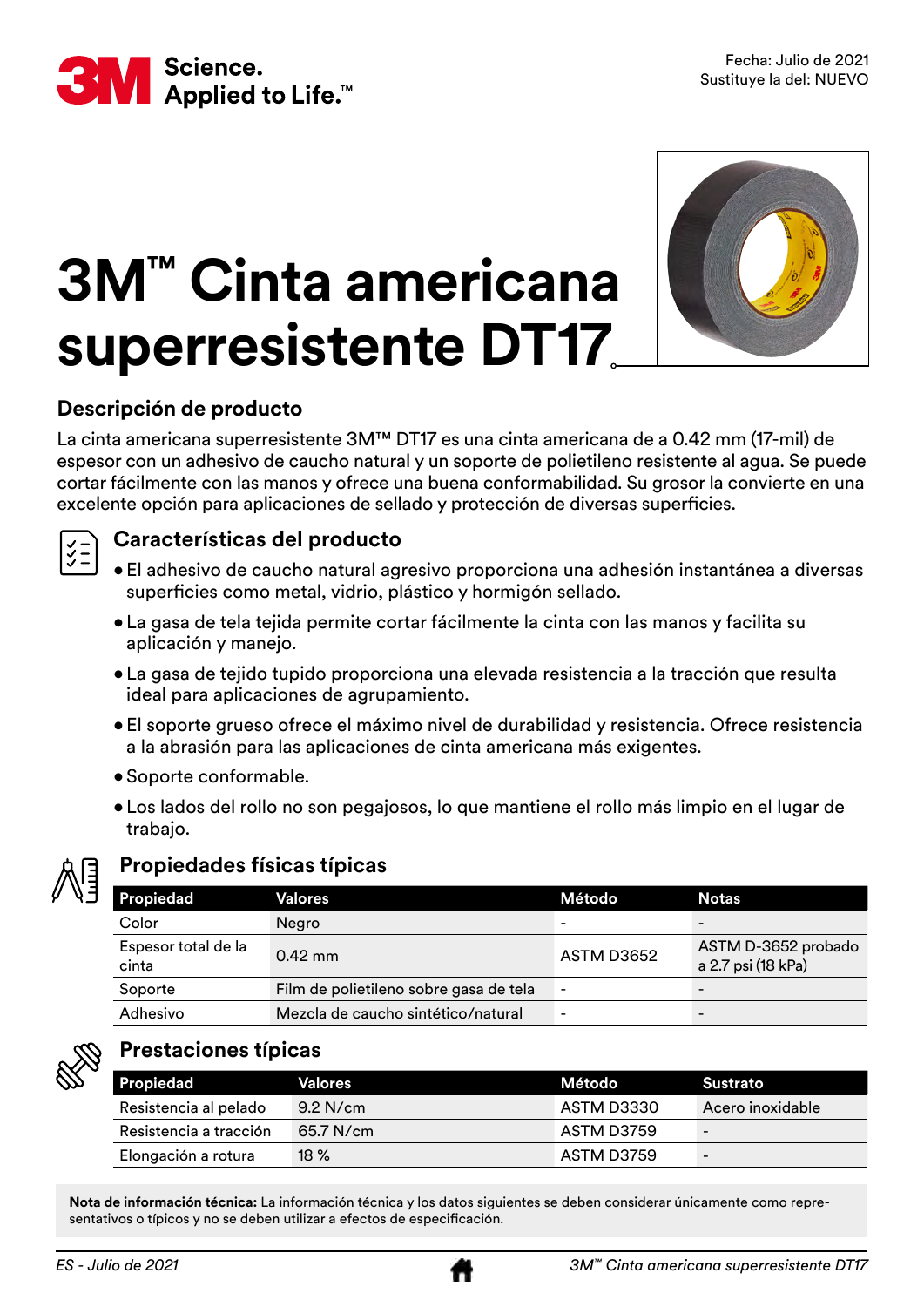<span id="page-9-0"></span>

# **3M™ Cinta americana superresistente DT17**



# **Descripción de producto**

La cinta americana superresistente 3M™ DT17 es una cinta americana de a 0.42 mm (17-mil) de espesor con un adhesivo de caucho natural y un soporte de polietileno resistente al agua. Se puede cortar fácilmente con las manos y ofrece una buena conformabilidad. Su grosor la convierte en una excelente opción para aplicaciones de sellado y protección de diversas superficies.

### **Características del producto**

- El adhesivo de caucho natural agresivo proporciona una adhesión instantánea a diversas superficies como metal, vidrio, plástico y hormigón sellado.
	- La gasa de tela tejida permite cortar fácilmente la cinta con las manos y facilita su aplicación y manejo.
	- La gasa de tejido tupido proporciona una elevada resistencia a la tracción que resulta ideal para aplicaciones de agrupamiento.
	- • El soporte grueso ofrece el máximo nivel de durabilidad y resistencia. Ofrece resistencia a la abrasión para las aplicaciones de cinta americana más exigentes.
	- Soporte conformable.
	- Los lados del rollo no son pegajosos, lo que mantiene el rollo más limpio en el lugar de trabajo.



### **Propiedades físicas típicas**

| <b>Propiedad</b>             | Valores                                | Método                   | <b>Notas</b>                              |
|------------------------------|----------------------------------------|--------------------------|-------------------------------------------|
| Color                        | Negro                                  | -                        | $\overline{\phantom{0}}$                  |
| Espesor total de la<br>cinta | $0.42$ mm                              | ASTM D3652               | ASTM D-3652 probado<br>a 2.7 psi (18 kPa) |
| Soporte                      | Film de polietileno sobre gasa de tela | $\overline{\phantom{0}}$ | $\overline{\phantom{0}}$                  |
| Adhesivo                     | Mezcla de caucho sintético/natural     | $\overline{\phantom{0}}$ | $\overline{\phantom{0}}$                  |



### **Prestaciones típicas**

| Propiedad              | Valores     | Método     | Sustrato         |
|------------------------|-------------|------------|------------------|
| Resistencia al pelado  | $9.2$ N/cm  | ASTM D3330 | Acero inoxidable |
| Resistencia a tracción | $65.7$ N/cm | ASTM D3759 | -                |
| Elongación a rotura    | $18\%$      | ASTM D3759 | -                |

**Nota de información técnica:** La información técnica y los datos siguientes se deben considerar únicamente como representativos o típicos y no se deben utilizar a efectos de especificación.

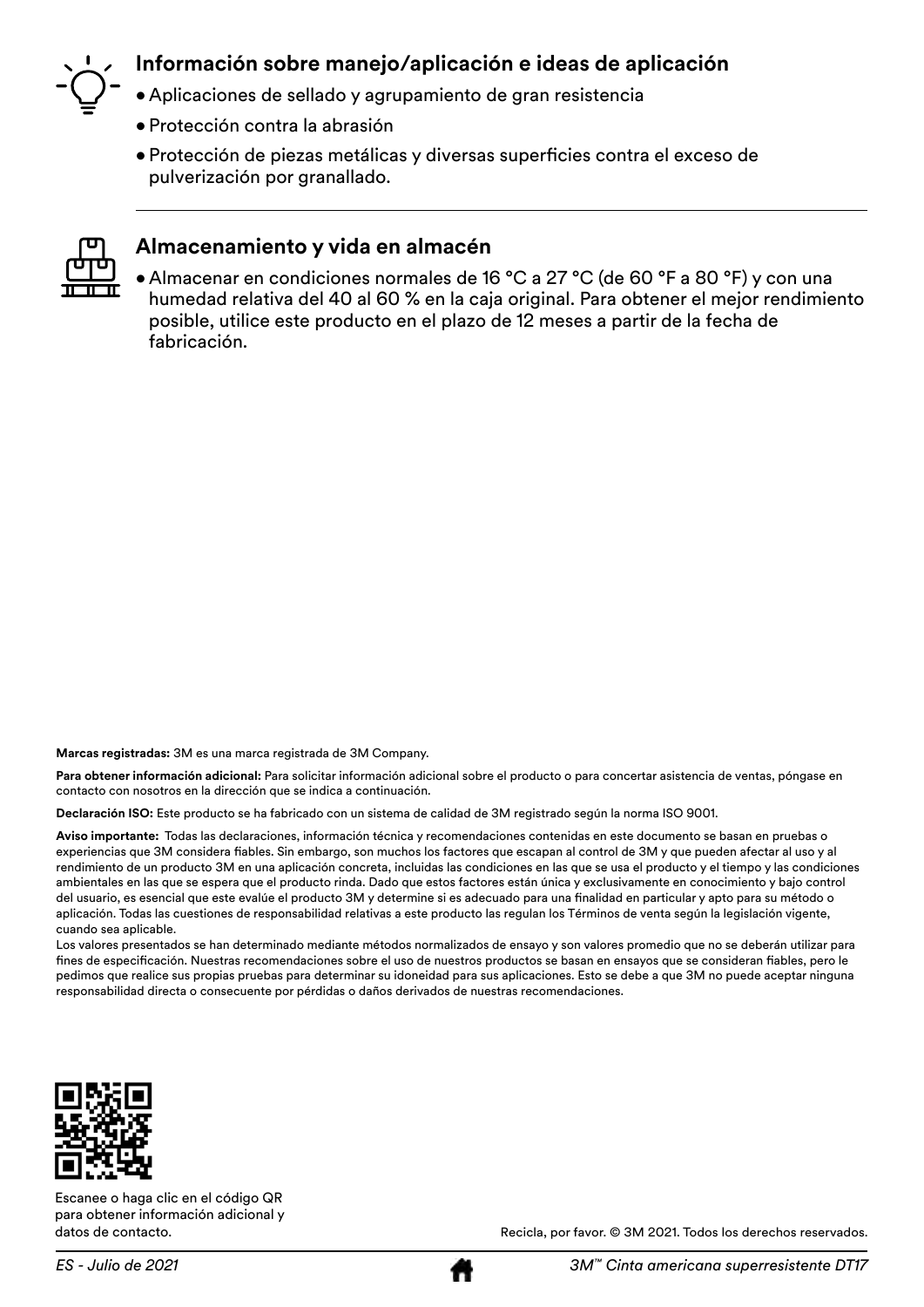

### **Información sobre manejo/aplicación e ideas de aplicación**

- Aplicaciones de sellado y agrupamiento de gran resistencia
- Protección contra la abrasión
- • Protección de piezas metálicas y diversas superficies contra el exceso de pulverización por granallado.



#### **Almacenamiento y vida en almacén**

• Almacenar en condiciones normales de 16 °C a 27 °C (de 60 °F a 80 °F) y con una humedad relativa del 40 al 60 % en la caja original. Para obtener el mejor rendimiento posible, utilice este producto en el plazo de 12 meses a partir de la fecha de fabricación.

**Marcas registradas:** 3M es una marca registrada de 3M Company.

**Para obtener información adicional:** Para solicitar información adicional sobre el producto o para concertar asistencia de ventas, póngase en contacto con nosotros en la dirección que se indica a continuación.

**Declaración ISO:** Este producto se ha fabricado con un sistema de calidad de 3M registrado según la norma ISO 9001.

**Aviso importante:** Todas las declaraciones, información técnica y recomendaciones contenidas en este documento se basan en pruebas o experiencias que 3M considera fiables. Sin embargo, son muchos los factores que escapan al control de 3M y que pueden afectar al uso y al rendimiento de un producto 3M en una aplicación concreta, incluidas las condiciones en las que se usa el producto y el tiempo y las condiciones ambientales en las que se espera que el producto rinda. Dado que estos factores están única y exclusivamente en conocimiento y bajo control del usuario, es esencial que este evalúe el producto 3M y determine si es adecuado para una finalidad en particular y apto para su método o aplicación. Todas las cuestiones de responsabilidad relativas a este producto las regulan los Términos de venta según la legislación vigente, cuando sea aplicable.

Los valores presentados se han determinado mediante métodos normalizados de ensayo y son valores promedio que no se deberán utilizar para fines de especificación. Nuestras recomendaciones sobre el uso de nuestros productos se basan en ensayos que se consideran fiables, pero le pedimos que realice sus propias pruebas para determinar su idoneidad para sus aplicaciones. Esto se debe a que 3M no puede aceptar ninguna responsabilidad directa o consecuente por pérdidas o daños derivados de nuestras recomendaciones.



Escanee o haga clic en el código QR para obtener información adicional y datos de contacto.

Recicla, por favor. © 3M 2021. Todos los derechos reservados.

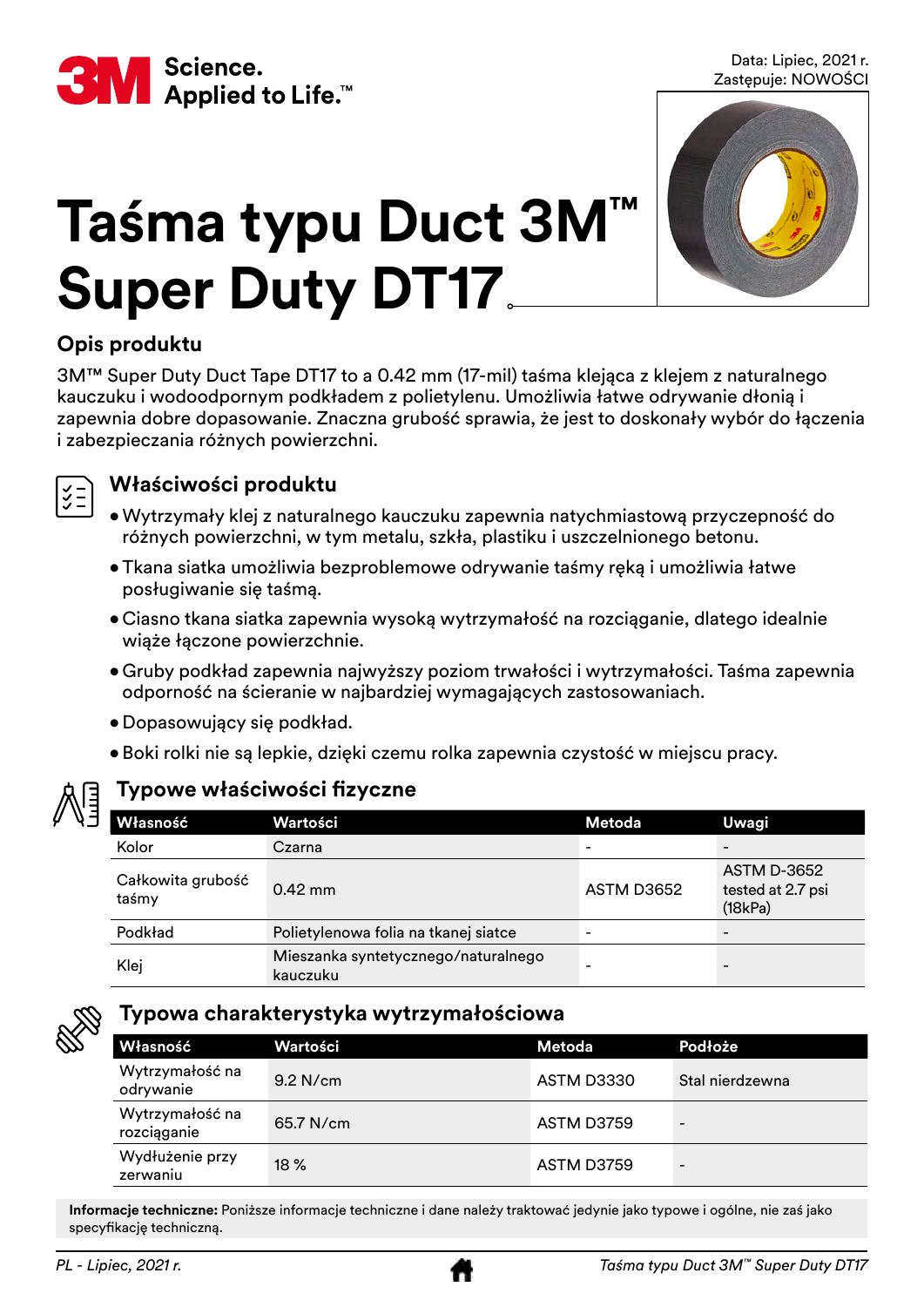<span id="page-11-0"></span>

Data: Lipiec, 2021 r. Zastępuje: NOWOŚCI



# **Taśma typu Duct 3M™ Super Duty DT17**

# **Opis produktu**

3M™ Super Duty Duct Tape DT17 to a 0.42 mm (17-mil) taśma klejąca z klejem z naturalnego kauczuku i wodoodpornym podkładem z polietylenu. Umożliwia łatwe odrywanie dłonią i zapewnia dobre dopasowanie. Znaczna grubość sprawia, że jest to doskonały wybór do łączenia i zabezpieczania różnych powierzchni.



### **Właściwości produktu**

- • Wytrzymały klej z naturalnego kauczuku zapewnia natychmiastową przyczepność do różnych powierzchni, w tym metalu, szkła, plastiku i uszczelnionego betonu.
- • Tkana siatka umożliwia bezproblemowe odrywanie taśmy ręką i umożliwia łatwe posługiwanie się taśmą.
- • Ciasno tkana siatka zapewnia wysoką wytrzymałość na rozciąganie, dlatego idealnie wiąże łączone powierzchnie.
- • Gruby podkład zapewnia najwyższy poziom trwałości i wytrzymałości. Taśma zapewnia odporność na ścieranie w najbardziej wymagających zastosowaniach.
- • Dopasowujący się podkład.
- • Boki rolki nie są lepkie, dzięki czemu rolka zapewnia czystość w miejscu pracy.



# **Typowe właściwości fizyczne**

| Własność                   | Wartości                                        | Metoda     | Uwagi                                              |
|----------------------------|-------------------------------------------------|------------|----------------------------------------------------|
| Kolor                      | Czarna                                          | -          |                                                    |
| Całkowita grubość<br>taśmy | $0.42$ mm                                       | ASTM D3652 | <b>ASTM D-3652</b><br>tested at 2.7 psi<br>(18kPa) |
| Podkład                    | Polietylenowa folia na tkanej siatce            | -          | $\overline{\phantom{0}}$                           |
| Klej                       | Mieszanka syntetycznego/naturalnego<br>kauczuku |            | -                                                  |



### **Typowa charakterystyka wytrzymałościowa**

| Własność                       | Wartości   | Metoda     | <b>Podłoże</b>           |
|--------------------------------|------------|------------|--------------------------|
| Wytrzymałość na<br>odrywanie   | $9.2$ N/cm | ASTM D3330 | Stal nierdzewna          |
| Wytrzymałość na<br>rozciąganie | 65.7 N/cm  | ASTM D3759 | $\overline{\phantom{0}}$ |
| Wydłużenie przy<br>zerwaniu    | 18%        | ASTM D3759 | $\overline{\phantom{0}}$ |

**Informacje techniczne:** Poniższe informacje techniczne i dane należy traktować jedynie jako typowe i ogólne, nie zaś jako specyfikację techniczną.